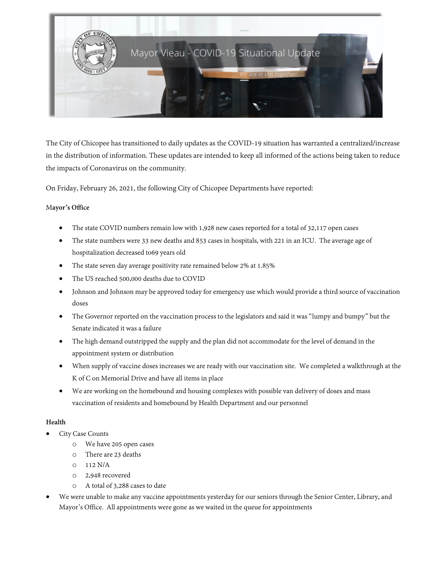

The City of Chicopee has transitioned to daily updates as the COVID-19 situation has warranted a centralized/increase in the distribution of information. These updates are intended to keep all informed of the actions being taken to reduce the impacts of Coronavirus on the community.

On Friday, February 26, 2021, the following City of Chicopee Departments have reported:

# M**ayor's Office**

- The state COVID numbers remain low with 1,928 new cases reported for a total of 32,117 open cases
- The state numbers were 33 new deaths and 853 cases in hospitals, with 221 in an ICU. The average age of hospitalization decreased to69 years old
- The state seven day average positivity rate remained below 2% at 1.85%
- The US reached 500,000 deaths due to COVID
- Johnson and Johnson may be approved today for emergency use which would provide a third source of vaccination doses
- The Governor reported on the vaccination process to the legislators and said it was "lumpy and bumpy" but the Senate indicated it was a failure
- The high demand outstripped the supply and the plan did not accommodate for the level of demand in the appointment system or distribution
- When supply of vaccine doses increases we are ready with our vaccination site. We completed a walkthrough at the K of C on Memorial Drive and have all items in place
- We are working on the homebound and housing complexes with possible van delivery of doses and mass vaccination of residents and homebound by Health Department and our personnel

# **Health**

- City Case Counts
	- o We have 205 open cases
	- o There are 23 deaths
	- o 112 N/A
	- o 2,948 recovered
	- o A total of 3,288 cases to date
- We were unable to make any vaccine appointments yesterday for our seniors through the Senior Center, Library, and Mayor's Office. All appointments were gone as we waited in the queue for appointments